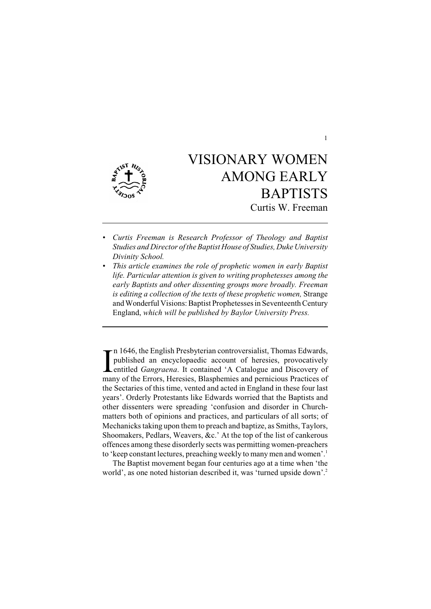

# VISIONARY WOMEN AMONG EARLY **BAPTISTS** Curtis W. Freeman

- *• Curtis Freeman is Research Professor of Theology and Baptist Studies and Director of the Baptist House of Studies, Duke University Divinity School.*
- *• This article examines the role of prophetic women in early Baptist life. Particular attention is given to writing prophetesses among the early Baptists and other dissenting groups more broadly. Freeman is editing a collection of the texts of these prophetic women,* Strange and Wonderful Visions: Baptist Prophetesses in Seventeenth Century England, *which will be published by Baylor University Press.*

In 1646, the English Presbyterian controversialist, Thomas Edwards, published an encyclopaedic account of heresies, provocatively entitled *Gangraena*. It contained 'A Catalogue and Discovery of many of the Errors, Heresie  $\tau$ n 1646, the English Presbyterian controversialist, Thomas Edwards, published an encyclopaedic account of heresies, provocatively entitled *Gangraena*. It contained 'A Catalogue and Discovery of the Sectaries of this time, vented and acted in England in these four last years'. Orderly Protestants like Edwards worried that the Baptists and other dissenters were spreading 'confusion and disorder in Churchmatters both of opinions and practices, and particulars of all sorts; of Mechanicks taking upon them to preach and baptize, as Smiths, Taylors, Shoomakers, Pedlars, Weavers, &c.' At the top of the list of cankerous offences among these disorderly sects was permitting women-preachers to 'keep constant lectures, preaching weekly to many men and women'.<sup>1</sup>

The Baptist movement began four centuries ago at a time when 'the world', as one noted historian described it, was 'turned upside down'. 2

1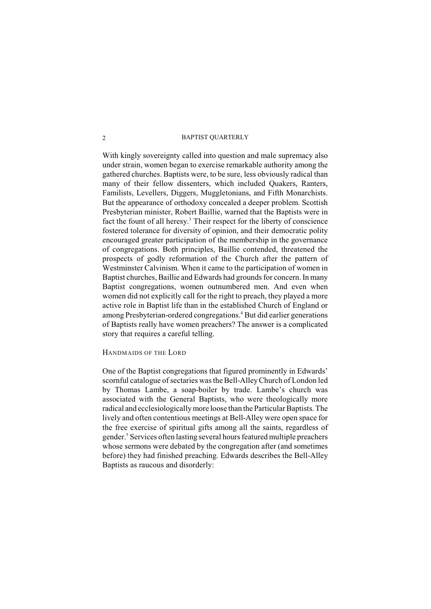With kingly sovereignty called into question and male supremacy also under strain, women began to exercise remarkable authority among the gathered churches. Baptists were, to be sure, less obviously radical than many of their fellow dissenters, which included Quakers, Ranters, Familists, Levellers, Diggers, Muggletonians, and Fifth Monarchists. But the appearance of orthodoxy concealed a deeper problem. Scottish Presbyterian minister, Robert Baillie, warned that the Baptists were in fact the fount of all heresy.<sup>3</sup> Their respect for the liberty of conscience fostered tolerance for diversity of opinion, and their democratic polity encouraged greater participation of the membership in the governance of congregations. Both principles, Baillie contended, threatened the prospects of godly reformation of the Church after the pattern of Westminster Calvinism. When it came to the participation of women in Baptist churches, Baillie and Edwards had grounds for concern. In many Baptist congregations, women outnumbered men. And even when women did not explicitly call for the right to preach, they played a more active role in Baptist life than in the established Church of England or among Presbyterian-ordered congregations.<sup>4</sup> But did earlier generations of Baptists really have women preachers? The answer is a complicated story that requires a careful telling.

## HANDMAIDS OF THE LORD

One of the Baptist congregations that figured prominently in Edwards' scornful catalogue of sectaries was the Bell-AlleyChurch of London led by Thomas Lambe, a soap-boiler by trade. Lambe's church was associated with the General Baptists, who were theologically more radical and ecclesiologically more loose than the Particular Baptists. The lively and often contentious meetings at Bell-Alley were open space for the free exercise of spiritual gifts among all the saints, regardless of gender.<sup>5</sup> Services often lasting several hours featured multiple preachers whose sermons were debated by the congregation after (and sometimes before) they had finished preaching. Edwards describes the Bell-Alley Baptists as raucous and disorderly: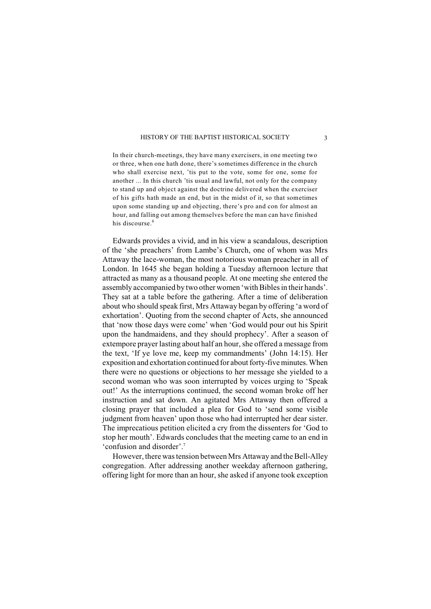In their church-meetings, they have many exercisers, in one meeting two or three, when one hath done, there's sometimes difference in the church who shall exercise next, 'tis put to the vote, some for one, some for another ... In this church 'tis usual and lawful, not only for the company to stand up and object against the doctrine delivered when the exerciser of his gifts hath made an end, but in the midst of it, so that sometimes upon some standing up and objecting, there's pro and con for almost an hour, and falling out among themselves before the man can have finished his discourse.<sup>6</sup>

Edwards provides a vivid, and in his view a scandalous, description of the 'she preachers' from Lambe's Church, one of whom was Mrs Attaway the lace-woman, the most notorious woman preacher in all of London. In 1645 she began holding a Tuesday afternoon lecture that attracted as many as a thousand people. At one meeting she entered the assembly accompanied by two other women 'with Bibles in their hands'. They sat at a table before the gathering. After a time of deliberation about who should speak first, Mrs Attaway began by offering 'a word of exhortation'. Quoting from the second chapter of Acts, she announced that 'now those days were come' when 'God would pour out his Spirit upon the handmaidens, and they should prophecy'. After a season of extempore prayer lasting about half an hour, she offered a message from the text, 'If ye love me, keep my commandments' (John 14:15). Her exposition and exhortation continued for about forty-five minutes. When there were no questions or objections to her message she yielded to a second woman who was soon interrupted by voices urging to 'Speak out!' As the interruptions continued, the second woman broke off her instruction and sat down. An agitated Mrs Attaway then offered a closing prayer that included a plea for God to 'send some visible judgment from heaven' upon those who had interrupted her dear sister. The imprecatious petition elicited a cry from the dissenters for 'God to stop her mouth'. Edwards concludes that the meeting came to an end in 'confusion and disorder'. 7

However, there was tension between Mrs Attaway and the Bell-Alley congregation. After addressing another weekday afternoon gathering, offering light for more than an hour, she asked if anyone took exception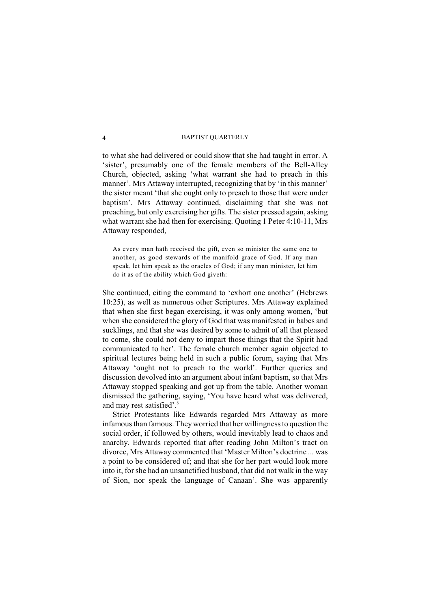to what she had delivered or could show that she had taught in error. A 'sister', presumably one of the female members of the Bell-Alley Church, objected, asking 'what warrant she had to preach in this manner'. Mrs Attaway interrupted, recognizing that by 'in this manner' the sister meant 'that she ought only to preach to those that were under baptism'. Mrs Attaway continued, disclaiming that she was not preaching, but only exercising her gifts. The sister pressed again, asking what warrant she had then for exercising. Quoting 1 Peter 4:10-11, Mrs Attaway responded,

As every man hath received the gift, even so minister the same one to another, as good stewards of the manifold grace of God. If any man speak, let him speak as the oracles of God; if any man minister, let him do it as of the ability which God giveth:

She continued, citing the command to 'exhort one another' (Hebrews 10:25), as well as numerous other Scriptures. Mrs Attaway explained that when she first began exercising, it was only among women, 'but when she considered the glory of God that was manifested in babes and sucklings, and that she was desired by some to admit of all that pleased to come, she could not deny to impart those things that the Spirit had communicated to her'. The female church member again objected to spiritual lectures being held in such a public forum, saying that Mrs Attaway 'ought not to preach to the world'. Further queries and discussion devolved into an argument about infant baptism, so that Mrs Attaway stopped speaking and got up from the table. Another woman dismissed the gathering, saying, 'You have heard what was delivered, and may rest satisfied'.<sup>8</sup>

Strict Protestants like Edwards regarded Mrs Attaway as more infamous than famous. They worried that her willingness to question the social order, if followed by others, would inevitably lead to chaos and anarchy. Edwards reported that after reading John Milton's tract on divorce, Mrs Attaway commented that 'Master Milton's doctrine ... was a point to be considered of; and that she for her part would look more into it, for she had an unsanctified husband, that did not walk in the way of Sion, nor speak the language of Canaan'. She was apparently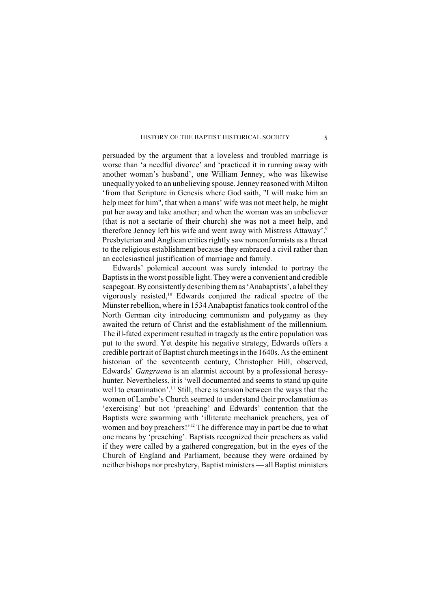persuaded by the argument that a loveless and troubled marriage is worse than 'a needful divorce' and 'practiced it in running away with another woman's husband', one William Jenney, who was likewise unequally yoked to an unbelieving spouse. Jenney reasoned with Milton 'from that Scripture in Genesis where God saith, "I will make him an help meet for him", that when a mans' wife was not meet help, he might put her away and take another; and when the woman was an unbeliever (that is not a sectarie of their church) she was not a meet help, and therefore Jenney left his wife and went away with Mistress Attaway'.<sup>9</sup> Presbyterian and Anglican critics rightly saw nonconformists as a threat to the religious establishment because they embraced a civil rather than an ecclesiastical justification of marriage and family.

Edwards' polemical account was surely intended to portray the Baptists in the worst possible light. They were a convenient and credible scapegoat. By consistently describing them as 'Anabaptists', a label they vigorously resisted, $10$  Edwards conjured the radical spectre of the Münster rebellion, where in 1534 Anabaptist fanatics took control of the North German city introducing communism and polygamy as they awaited the return of Christ and the establishment of the millennium. The ill-fated experiment resulted in tragedy as the entire population was put to the sword. Yet despite his negative strategy, Edwards offers a credible portrait of Baptist church meetings in the 1640s. As the eminent historian of the seventeenth century, Christopher Hill, observed, Edwards' *Gangraena* is an alarmist account by a professional heresyhunter. Nevertheless, it is 'well documented and seems to stand up quite well to examination'.<sup>11</sup> Still, there is tension between the ways that the women of Lambe's Church seemed to understand their proclamation as 'exercising' but not 'preaching' and Edwards' contention that the Baptists were swarming with 'illiterate mechanick preachers, yea of women and boy preachers!'<sup>12</sup> The difference may in part be due to what one means by 'preaching'. Baptists recognized their preachers as valid if they were called by a gathered congregation, but in the eyes of the Church of England and Parliament, because they were ordained by neither bishops nor presbytery, Baptist ministers — all Baptist ministers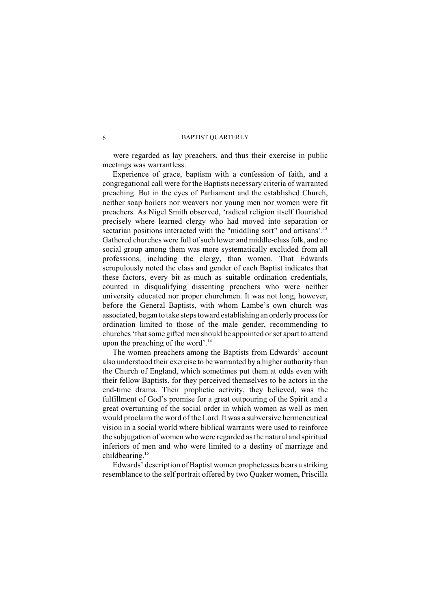— were regarded as lay preachers, and thus their exercise in public meetings was warrantless.

Experience of grace, baptism with a confession of faith, and a congregational call were for the Baptists necessary criteria of warranted preaching. But in the eyes of Parliament and the established Church, neither soap boilers nor weavers nor young men nor women were fit preachers. As Nigel Smith observed, 'radical religion itself flourished precisely where learned clergy who had moved into separation or sectarian positions interacted with the "middling sort" and artisans'.<sup>13</sup> Gathered churches were full of such lower and middle-class folk, and no social group among them was more systematically excluded from all professions, including the clergy, than women. That Edwards scrupulously noted the class and gender of each Baptist indicates that these factors, every bit as much as suitable ordination credentials, counted in disqualifying dissenting preachers who were neither university educated nor proper churchmen. It was not long, however, before the General Baptists, with whom Lambe's own church was associated, began to take steps toward establishing an orderly process for ordination limited to those of the male gender, recommending to churches 'that some gifted men should be appointed or set apart to attend upon the preaching of the word'. 14

The women preachers among the Baptists from Edwards' account also understood their exercise to be warranted by a higher authority than the Church of England, which sometimes put them at odds even with their fellow Baptists, for they perceived themselves to be actors in the end-time drama. Their prophetic activity, they believed, was the fulfillment of God's promise for a great outpouring of the Spirit and a great overturning of the social order in which women as well as men would proclaim the word of the Lord. It was a subversive hermeneutical vision in a social world where biblical warrants were used to reinforce the subjugation of women who were regarded as the natural and spiritual inferiors of men and who were limited to a destiny of marriage and childbearing.<sup>15</sup>

Edwards' description of Baptist women prophetesses bears a striking resemblance to the self portrait offered by two Quaker women, Priscilla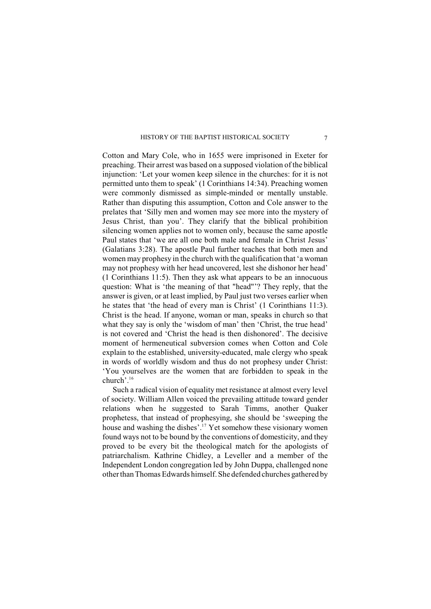Cotton and Mary Cole, who in 1655 were imprisoned in Exeter for preaching. Their arrest was based on a supposed violation of the biblical injunction: 'Let your women keep silence in the churches: for it is not permitted unto them to speak' (1 Corinthians 14:34). Preaching women were commonly dismissed as simple-minded or mentally unstable. Rather than disputing this assumption, Cotton and Cole answer to the prelates that 'Silly men and women may see more into the mystery of Jesus Christ, than you'. They clarify that the biblical prohibition silencing women applies not to women only, because the same apostle Paul states that 'we are all one both male and female in Christ Jesus' (Galatians 3:28). The apostle Paul further teaches that both men and women may prophesy in the church with the qualification that 'a woman may not prophesy with her head uncovered, lest she dishonor her head' (1 Corinthians 11:5). Then they ask what appears to be an innocuous question: What is 'the meaning of that "head"'? They reply, that the answer is given, or at least implied, by Paul just two verses earlier when he states that 'the head of every man is Christ' (1 Corinthians 11:3). Christ is the head. If anyone, woman or man, speaks in church so that what they say is only the 'wisdom of man' then 'Christ, the true head' is not covered and 'Christ the head is then dishonored'. The decisive moment of hermeneutical subversion comes when Cotton and Cole explain to the established, university-educated, male clergy who speak in words of worldly wisdom and thus do not prophesy under Christ: 'You yourselves are the women that are forbidden to speak in the church'.<sup>16</sup>

Such a radical vision of equality met resistance at almost every level of society. William Allen voiced the prevailing attitude toward gender relations when he suggested to Sarah Timms, another Quaker prophetess, that instead of prophesying, she should be 'sweeping the house and washing the dishes'.<sup>17</sup> Yet somehow these visionary women found ways not to be bound by the conventions of domesticity, and they proved to be every bit the theological match for the apologists of patriarchalism. Kathrine Chidley, a Leveller and a member of the Independent London congregation led by John Duppa, challenged none other than Thomas Edwards himself. She defended churches gathered by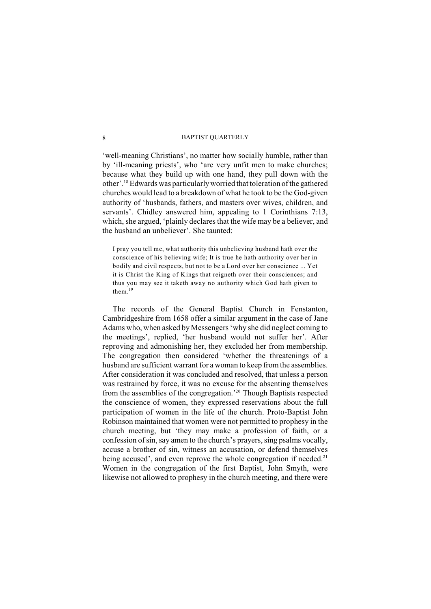'well-meaning Christians', no matter how socially humble, rather than by 'ill-meaning priests', who 'are very unfit men to make churches; because what they build up with one hand, they pull down with the other'.<sup>18</sup> Edwards was particularly worried that toleration of the gathered churches would lead to a breakdown of what he took to be the God-given authority of 'husbands, fathers, and masters over wives, children, and servants'. Chidley answered him, appealing to 1 Corinthians 7:13, which, she argued, 'plainly declares that the wife may be a believer, and the husband an unbeliever'. She taunted:

I pray you tell me, what authority this unbelieving husband hath over the conscience of his believing wife; It is true he hath authority over her in bodily and civil respects, but not to be a Lord over her conscience ... Yet it is Christ the King of Kings that reigneth over their consciences; and thus you may see it taketh away no authority which God hath given to them.<sup>19</sup>

The records of the General Baptist Church in Fenstanton, Cambridgeshire from 1658 offer a similar argument in the case of Jane Adams who, when asked by Messengers 'why she did neglect coming to the meetings', replied, 'her husband would not suffer her'. After reproving and admonishing her, they excluded her from membership. The congregation then considered 'whether the threatenings of a husband are sufficient warrant for a woman to keep fromthe assemblies. After consideration it was concluded and resolved, that unless a person was restrained by force, it was no excuse for the absenting themselves from the assemblies of the congregation.<sup> $20$ </sup> Though Baptists respected the conscience of women, they expressed reservations about the full participation of women in the life of the church. Proto-Baptist John Robinson maintained that women were not permitted to prophesy in the church meeting, but 'they may make a profession of faith, or a confession of sin, say amen to the church's prayers, sing psalms vocally, accuse a brother of sin, witness an accusation, or defend themselves being accused', and even reprove the whole congregation if needed. $2<sup>1</sup>$ Women in the congregation of the first Baptist, John Smyth, were likewise not allowed to prophesy in the church meeting, and there were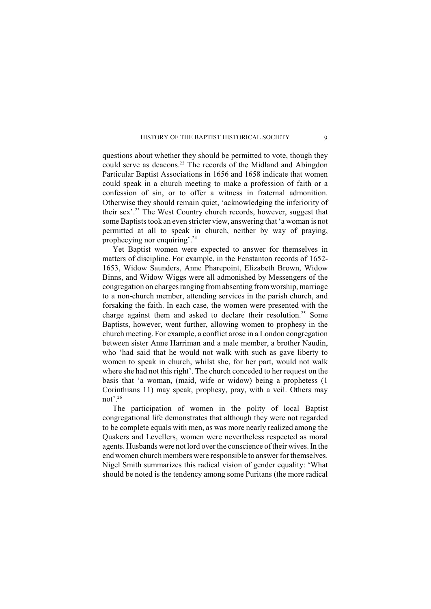questions about whether they should be permitted to vote, though they could serve as deacons.<sup>22</sup> The records of the Midland and Abingdon Particular Baptist Associations in 1656 and 1658 indicate that women could speak in a church meeting to make a profession of faith or a confession of sin, or to offer a witness in fraternal admonition. Otherwise they should remain quiet, 'acknowledging the inferiority of their sex'.<sup>23</sup> The West Country church records, however, suggest that some Baptists took an even stricter view, answering that 'a woman is not permitted at all to speak in church, neither by way of praying, prophecying nor enquiring'.<sup>24</sup>

Yet Baptist women were expected to answer for themselves in matters of discipline. For example, in the Fenstanton records of 1652- 1653, Widow Saunders, Anne Pharepoint, Elizabeth Brown, Widow Binns, and Widow Wiggs were all admonished by Messengers of the congregation on charges ranging from absenting from worship, marriage to a non-church member, attending services in the parish church, and forsaking the faith. In each case, the women were presented with the charge against them and asked to declare their resolution.<sup>25</sup> Some Baptists, however, went further, allowing women to prophesy in the church meeting. For example, a conflict arose in a London congregation between sister Anne Harriman and a male member, a brother Naudin, who 'had said that he would not walk with such as gave liberty to women to speak in church, whilst she, for her part, would not walk where she had not this right'. The church conceded to her request on the basis that 'a woman, (maid, wife or widow) being a prophetess (1 Corinthians 11) may speak, prophesy, pray, with a veil. Others may not'. 26

The participation of women in the polity of local Baptist congregational life demonstrates that although they were not regarded to be complete equals with men, as was more nearly realized among the Quakers and Levellers, women were nevertheless respected as moral agents. Husbands were not lord over the conscience of their wives. In the end women church members were responsible to answer for themselves. Nigel Smith summarizes this radical vision of gender equality: 'What should be noted is the tendency among some Puritans (the more radical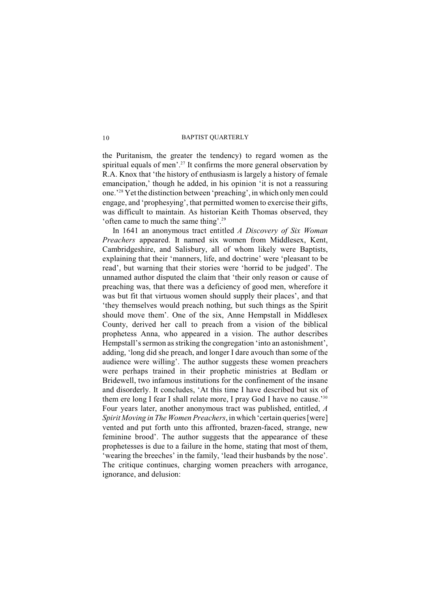the Puritanism, the greater the tendency) to regard women as the spiritual equals of men'.<sup>27</sup> It confirms the more general observation by R.A. Knox that 'the history of enthusiasm is largely a history of female emancipation,' though he added, in his opinion 'it is not a reassuring one.<sup>28</sup> Yet the distinction between 'preaching', in which only men could engage, and 'prophesying', that permitted women to exercise their gifts, was difficult to maintain. As historian Keith Thomas observed, they 'often came to much the same thing'.<sup>29</sup>

In 1641 an anonymous tract entitled *A Discovery of Six Woman Preachers* appeared. It named six women from Middlesex, Kent, Cambridgeshire, and Salisbury, all of whom likely were Baptists, explaining that their 'manners, life, and doctrine' were 'pleasant to be read', but warning that their stories were 'horrid to be judged'. The unnamed author disputed the claim that 'their only reason or cause of preaching was, that there was a deficiency of good men, wherefore it was but fit that virtuous women should supply their places', and that 'they themselves would preach nothing, but such things as the Spirit should move them'. One of the six, Anne Hempstall in Middlesex County, derived her call to preach from a vision of the biblical prophetess Anna, who appeared in a vision. The author describes Hempstall's sermon as striking the congregation 'into an astonishment', adding, 'long did she preach, and longer I dare avouch than some of the audience were willing'. The author suggests these women preachers were perhaps trained in their prophetic ministries at Bedlam or Bridewell, two infamous institutions for the confinement of the insane and disorderly. It concludes, 'At this time I have described but six of them ere long I fear I shall relate more, I pray God I have no cause.'<sup>30</sup> Four years later, another anonymous tract was published, entitled, *A Spirit Moving in The Women Preachers*, in which 'certain queries [were] vented and put forth unto this affronted, brazen-faced, strange, new feminine brood'. The author suggests that the appearance of these prophetesses is due to a failure in the home, stating that most of them, 'wearing the breeches' in the family, 'lead their husbands by the nose'. The critique continues, charging women preachers with arrogance, ignorance, and delusion: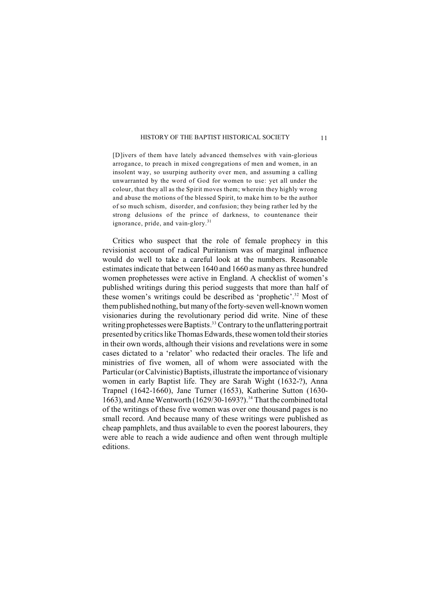[D]ivers of them have lately advanced themselves with vain-glorious arrogance, to preach in mixed congregations of men and women, in an insolent way, so usurping authority over men, and assuming a calling unwarranted by the word of God for women to use: yet all under the colour, that they all as the Spirit moves them; wherein they highly wrong and abuse the motions of the blessed Spirit, to make him to be the author of so much schism, disorder, and confusion; they being rather led by the strong delusions of the prince of darkness, to countenance their ignorance, pride, and vain-glory.<sup>31</sup>

Critics who suspect that the role of female prophecy in this revisionist account of radical Puritanism was of marginal influence would do well to take a careful look at the numbers. Reasonable estimates indicate that between 1640 and 1660 as many as three hundred women prophetesses were active in England. A checklist of women's published writings during this period suggests that more than half of these women's writings could be described as 'prophetic'.<sup>32</sup> Most of them published nothing, but many of the forty-seven well-known women visionaries during the revolutionary period did write. Nine of these writing prophetesses were Baptists.<sup>33</sup> Contrary to the unflattering portrait presented by critics like Thomas Edwards, these women told their stories in their own words, although their visions and revelations were in some cases dictated to a 'relator' who redacted their oracles. The life and ministries of five women, all of whom were associated with the Particular (or Calvinistic) Baptists, illustrate the importance of visionary women in early Baptist life. They are Sarah Wight (1632-?), Anna Trapnel (1642-1660), Jane Turner (1653), Katherine Sutton (1630- 1663), and Anne Wentworth  $(1629/30-1693?)$ .<sup>34</sup> That the combined total of the writings of these five women was over one thousand pages is no small record. And because many of these writings were published as cheap pamphlets, and thus available to even the poorest labourers, they were able to reach a wide audience and often went through multiple editions.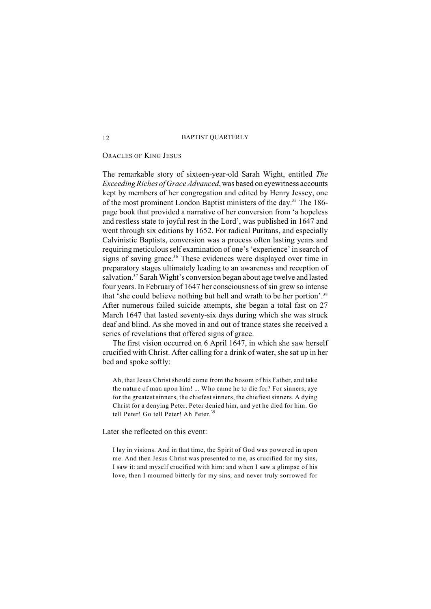## ORACLES OF KING JESUS

The remarkable story of sixteen-year-old Sarah Wight, entitled *The Exceeding Riches of Grace Advanced*, was based on eyewitness accounts kept by members of her congregation and edited by Henry Jessey, one of the most prominent London Baptist ministers of the day.<sup>35</sup> The 186page book that provided a narrative of her conversion from 'a hopeless and restless state to joyful rest in the Lord', was published in 1647 and went through six editions by 1652. For radical Puritans, and especially Calvinistic Baptists, conversion was a process often lasting years and requiring meticulous self examination of one's 'experience' in search of signs of saving grace.<sup>36</sup> These evidences were displayed over time in preparatory stages ultimately leading to an awareness and reception of salvation.<sup>37</sup> Sarah Wight's conversion began about age twelve and lasted four years. In February of 1647 her consciousness of sin grew so intense that 'she could believe nothing but hell and wrath to be her portion'.<sup>38</sup> After numerous failed suicide attempts, she began a total fast on 27 March 1647 that lasted seventy-six days during which she was struck deaf and blind. As she moved in and out of trance states she received a series of revelations that offered signs of grace.

The first vision occurred on 6 April 1647, in which she saw herself crucified with Christ. After calling for a drink of water, she sat up in her bed and spoke softly:

Ah, that Jesus Christ should come from the bosom of his Father, and take the nature of man upon him! ... Who came he to die for? For sinners; aye for the greatest sinners, the chiefest sinners, the chiefiest sinners. A dying Christ for a denying Peter. Peter denied him, and yet he died for him. Go tell Peter! Go tell Peter! Ah Peter.<sup>39</sup>

## Later she reflected on this event:

I lay in visions. And in that time, the Spirit of God was powered in upon me. And then Jesus Christ was presented to me, as crucified for my sins, I saw it: and myself crucified with him: and when I saw a glimpse of his love, then I mourned bitterly for my sins, and never truly sorrowed for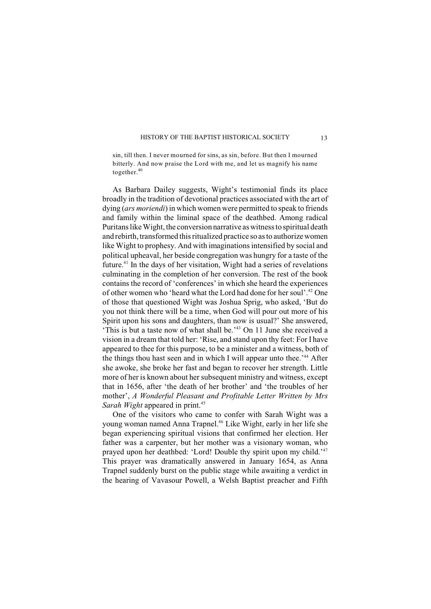sin, till then. I never mourned for sins, as sin, before. But then I mourned bitterly. And now praise the Lord with me, and let us magnify his name together.<sup>40</sup>

As Barbara Dailey suggests, Wight's testimonial finds its place broadly in the tradition of devotional practices associated with the art of dying (*ars moriendi*) in which women were permitted to speak to friends and family within the liminal space of the deathbed. Among radical Puritans like Wight, the conversion narrative as witness to spiritual death and rebirth, transformed this ritualized practice so as to authorize women like Wight to prophesy. And with imaginations intensified by social and political upheaval, her beside congregation was hungry for a taste of the future. $41$  In the days of her visitation, Wight had a series of revelations culminating in the completion of her conversion. The rest of the book contains the record of 'conferences' in which she heard the experiences of other women who 'heard what the Lord had done for her soul'.<sup>42</sup> One of those that questioned Wight was Joshua Sprig, who asked, 'But do you not think there will be a time, when God will pour out more of his Spirit upon his sons and daughters, than now is usual?' She answered, 'This is but a taste now of what shall be.<sup>'43</sup> On 11 June she received a vision in a dream that told her: 'Rise, and stand upon thy feet: For I have appeared to thee for this purpose, to be a minister and a witness, both of the things thou hast seen and in which I will appear unto thee.<sup> $344$ </sup> After she awoke, she broke her fast and began to recover her strength. Little more of her is known about her subsequent ministry and witness, except that in 1656, after 'the death of her brother' and 'the troubles of her mother', *A Wonderful Pleasant and Profitable Letter Written by Mrs Sarah Wight* appeared in print. 45

One of the visitors who came to confer with Sarah Wight was a young woman named Anna Trapnel.<sup>46</sup> Like Wight, early in her life she began experiencing spiritual visions that confirmed her election. Her father was a carpenter, but her mother was a visionary woman, who prayed upon her deathbed: 'Lord! Double thy spirit upon my child.'<sup>47</sup> This prayer was dramatically answered in January 1654, as Anna Trapnel suddenly burst on the public stage while awaiting a verdict in the hearing of Vavasour Powell, a Welsh Baptist preacher and Fifth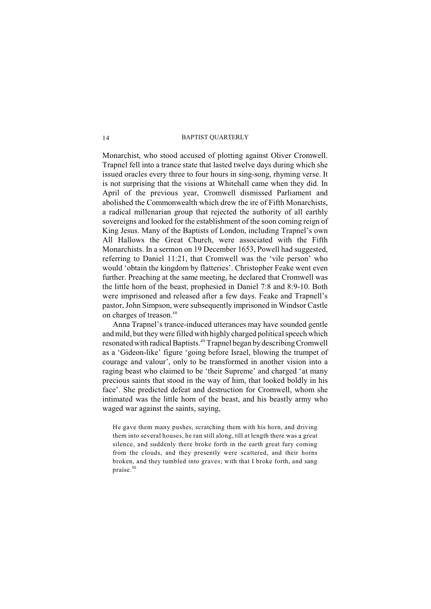Monarchist, who stood accused of plotting against Oliver Cromwell. Trapnel fell into a trance state that lasted twelve days during which she issued oracles every three to four hours in sing-song, rhyming verse. It is not surprising that the visions at Whitehall came when they did. In April of the previous year, Cromwell dismissed Parliament and abolished the Commonwealth which drew the ire of Fifth Monarchists, a radical millenarian group that rejected the authority of all earthly sovereigns and looked for the establishment of the soon coming reign of King Jesus. Many of the Baptists of London, including Trapnel's own All Hallows the Great Church, were associated with the Fifth Monarchists. In a sermon on 19 December 1653, Powell had suggested, referring to Daniel 11:21, that Cromwell was the 'vile person' who would 'obtain the kingdom by flatteries'. Christopher Feake went even further. Preaching at the same meeting, he declared that Cromwell was the little horn of the beast, prophesied in Daniel 7:8 and 8:9-10. Both were imprisoned and released after a few days. Feake and Trapnell's pastor, John Simpson, were subsequently imprisoned in Windsor Castle on charges of treason.<sup>48</sup>

Anna Trapnel's trance-induced utterances may have sounded gentle and mild, but they were filled with highly charged political speech which resonated with radical Baptists.<sup>49</sup> Trapnel began by describing Cromwell as a 'Gideon-like' figure 'going before Israel, blowing the trumpet of courage and valour', only to be transformed in another vision into a raging beast who claimed to be 'their Supreme' and charged 'at many precious saints that stood in the way of him, that looked boldly in his face'. She predicted defeat and destruction for Cromwell, whom she intimated was the little horn of the beast, and his beastly army who waged war against the saints, saying,

He gave them many pushes, scratching them with his horn, and driving them into several houses, he ran still along, till at length there was a great silence, and suddenly there broke forth in the earth great fury coming from the clouds, and they presently were scattered, and their horns broken, and they tumbled into graves; with that I broke forth, and sang praise.<sup>50</sup>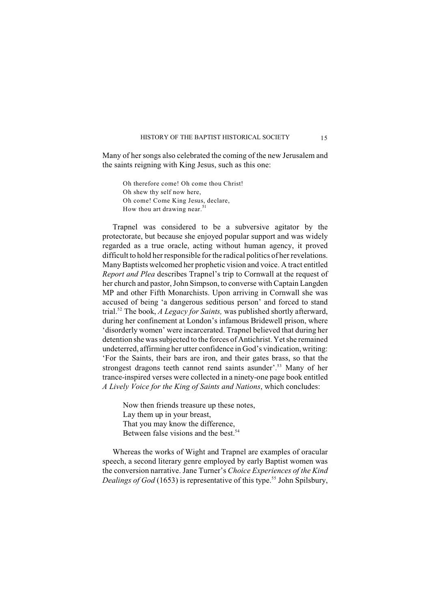Many of her songs also celebrated the coming of the new Jerusalem and the saints reigning with King Jesus, such as this one:

Oh therefore come! Oh come thou Christ! Oh shew thy self now here, Oh come! Come King Jesus, declare, How thou art drawing near.<sup>51</sup>

Trapnel was considered to be a subversive agitator by the protectorate, but because she enjoyed popular support and was widely regarded as a true oracle, acting without human agency, it proved difficult to hold her responsible for the radical politics of her revelations. Many Baptists welcomed her prophetic vision and voice. A tract entitled *Report and Plea* describes Trapnel's trip to Cornwall at the request of her church and pastor, John Simpson, to converse with Captain Langden MP and other Fifth Monarchists. Upon arriving in Cornwall she was accused of being 'a dangerous seditious person' and forced to stand trial.<sup>52</sup> The book, *A Legacy for Saints*, was published shortly afterward, during her confinement at London's infamous Bridewell prison, where 'disorderly women' were incarcerated. Trapnel believed that during her detention she was subjected to the forces of Antichrist. Yet she remained undeterred, affirming her utter confidence in God's vindication, writing: 'For the Saints, their bars are iron, and their gates brass, so that the strongest dragons teeth cannot rend saints asunder'.<sup>53</sup> Many of her trance-inspired verses were collected in a ninety-one page book entitled *A Lively Voice for the King of Saints and Nations*, which concludes:

Now then friends treasure up these notes, Lay them up in your breast, That you may know the difference, Between false visions and the best.<sup>54</sup>

Whereas the works of Wight and Trapnel are examples of oracular speech, a second literary genre employed by early Baptist women was the conversion narrative. Jane Turner's *Choice Experiences of the Kind Dealings of God* (1653) is representative of this type.<sup>55</sup> John Spilsbury,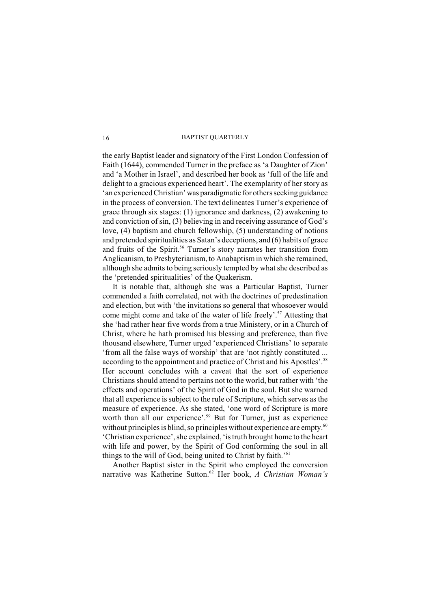the early Baptist leader and signatory of the First London Confession of Faith (1644), commended Turner in the preface as 'a Daughter of Zion' and 'a Mother in Israel', and described her book as 'full of the life and delight to a gracious experienced heart'. The exemplarity of her story as 'an experienced Christian' was paradigmatic for others seeking guidance in the process of conversion. The text delineates Turner's experience of grace through six stages: (1) ignorance and darkness, (2) awakening to and conviction of sin, (3) believing in and receiving assurance of God's love, (4) baptism and church fellowship, (5) understanding of notions and pretended spiritualities as Satan's deceptions, and (6) habits of grace and fruits of the Spirit.<sup>56</sup> Turner's story narrates her transition from Anglicanism, to Presbyterianism, to Anabaptism in which she remained, although she admits to being seriously tempted by what she described as the 'pretended spiritualities' of the Quakerism.

It is notable that, although she was a Particular Baptist, Turner commended a faith correlated, not with the doctrines of predestination and election, but with 'the invitations so general that whosoever would come might come and take of the water of life freely'.<sup>57</sup> Attesting that she 'had rather hear five words from a true Ministery, or in a Church of Christ, where he hath promised his blessing and preference, than five thousand elsewhere, Turner urged 'experienced Christians' to separate 'from all the false ways of worship' that are 'not rightly constituted ... according to the appointment and practice of Christ and his Apostles'. 58 Her account concludes with a caveat that the sort of experience Christians should attend to pertains not to the world, but rather with 'the effects and operations' of the Spirit of God in the soul. But she warned that all experience is subject to the rule of Scripture, which serves as the measure of experience. As she stated, 'one word of Scripture is more worth than all our experience'.<sup>59</sup> But for Turner, just as experience without principles is blind, so principles without experience are empty.<sup>60</sup> 'Christian experience', she explained, 'is truth brought home to the heart with life and power, by the Spirit of God conforming the soul in all things to the will of God, being united to Christ by faith.' 61

Another Baptist sister in the Spirit who employed the conversion narrative was Katherine Sutton.<sup>62</sup> Her book, *A Christian Woman's*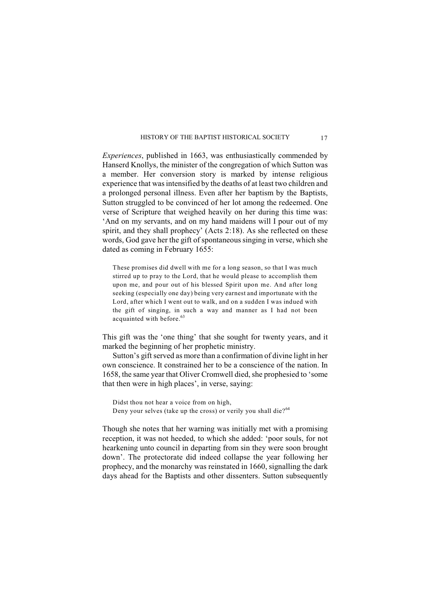*Experiences*, published in 1663, was enthusiastically commended by Hanserd Knollys, the minister of the congregation of which Sutton was a member. Her conversion story is marked by intense religious experience that was intensified by the deaths of at least two children and a prolonged personal illness. Even after her baptism by the Baptists, Sutton struggled to be convinced of her lot among the redeemed. One verse of Scripture that weighed heavily on her during this time was: 'And on my servants, and on my hand maidens will I pour out of my spirit, and they shall prophecy' (Acts 2:18). As she reflected on these words, God gave her the gift of spontaneous singing in verse, which she dated as coming in February 1655:

These promises did dwell with me for a long season, so that I was much stirred up to pray to the Lord, that he would please to accomplish them upon me, and pour out of his blessed Spirit upon me. And after long seeking (especially one day) being very earnest and importunate with the Lord, after which I went out to walk, and on a sudden I was indued with the gift of singing, in such a way and manner as I had not been acquainted with before.<sup>63</sup>

This gift was the 'one thing' that she sought for twenty years, and it marked the beginning of her prophetic ministry.

Sutton's gift served as more than a confirmation of divine light in her own conscience. It constrained her to be a conscience of the nation. In 1658, the same year that Oliver Cromwell died, she prophesied to 'some that then were in high places', in verse, saying:

Didst thou not hear a voice from on high, Deny your selves (take up the cross) or verily you shall die?<sup>64</sup>

Though she notes that her warning was initially met with a promising reception, it was not heeded, to which she added: 'poor souls, for not hearkening unto council in departing from sin they were soon brought down'. The protectorate did indeed collapse the year following her prophecy, and the monarchy was reinstated in 1660, signalling the dark days ahead for the Baptists and other dissenters. Sutton subsequently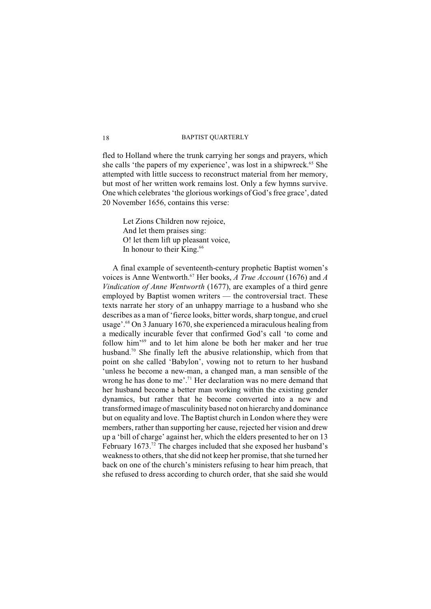fled to Holland where the trunk carrying her songs and prayers, which she calls 'the papers of my experience', was lost in a shipwreck.<sup>65</sup> She attempted with little success to reconstruct material from her memory, but most of her written work remains lost. Only a few hymns survive. One which celebrates 'the glorious workings of God's free grace', dated 20 November 1656, contains this verse:

Let Zions Children now rejoice, And let them praises sing: O! let them lift up pleasant voice, In honour to their King.<sup>66</sup>

A final example of seventeenth-century prophetic Baptist women's voices is Anne Wentworth.<sup>67</sup> Her books, *A True Account* (1676) and *A Vindication of Anne Wentworth* (1677), are examples of a third genre employed by Baptist women writers — the controversial tract. These texts narrate her story of an unhappy marriage to a husband who she describes as a man of 'fierce looks, bitter words, sharp tongue, and cruel usage'.  $8^{\circ}$  On 3 January 1670, she experienced a miraculous healing from a medically incurable fever that confirmed God's call 'to come and follow him<sup> $69$ </sup> and to let him alone be both her maker and her true husband.<sup>70</sup> She finally left the abusive relationship, which from that point on she called 'Babylon', vowing not to return to her husband 'unless he become a new-man, a changed man, a man sensible of the wrong he has done to me'.<sup>71</sup> Her declaration was no mere demand that her husband become a better man working within the existing gender dynamics, but rather that he become converted into a new and transformed image of masculinity based not on hierarchy and dominance but on equality and love. The Baptist church in London where they were members, rather than supporting her cause, rejected her vision and drew up a 'bill of charge' against her, which the elders presented to her on 13 February 1673.<sup>72</sup> The charges included that she exposed her husband's weakness to others, that she did not keep her promise, that she turned her back on one of the church's ministers refusing to hear him preach, that she refused to dress according to church order, that she said she would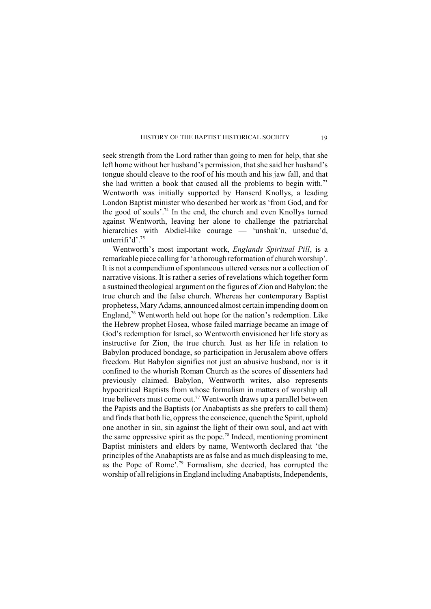seek strength from the Lord rather than going to men for help, that she left home without her husband's permission, that she said her husband's tongue should cleave to the roof of his mouth and his jaw fall, and that she had written a book that caused all the problems to begin with.<sup>73</sup> Wentworth was initially supported by Hanserd Knollys, a leading London Baptist minister who described her work as 'from God, and for the good of souls'.<sup>74</sup> In the end, the church and even Knollys turned against Wentworth, leaving her alone to challenge the patriarchal hierarchies with Abdiel-like courage — 'unshak'n, unseduc'd, unterrifi'd'.<sup>75</sup>

Wentworth's most important work, *Englands Spiritual Pill*, is a remarkable piece calling for 'a thorough reformation of church worship'. It is not a compendium of spontaneous uttered verses nor a collection of narrative visions. It is rather a series of revelations which together form a sustained theological argument on the figures of Zion and Babylon: the true church and the false church. Whereas her contemporary Baptist prophetess, Mary Adams, announced almost certain impending doom on England,  $\frac{76}{6}$  Wentworth held out hope for the nation's redemption. Like the Hebrew prophet Hosea, whose failed marriage became an image of God's redemption for Israel, so Wentworth envisioned her life story as instructive for Zion, the true church. Just as her life in relation to Babylon produced bondage, so participation in Jerusalem above offers freedom. But Babylon signifies not just an abusive husband, nor is it confined to the whorish Roman Church as the scores of dissenters had previously claimed. Babylon, Wentworth writes, also represents hypocritical Baptists from whose formalism in matters of worship all true believers must come out.<sup>77</sup> Wentworth draws up a parallel between the Papists and the Baptists (or Anabaptists as she prefers to call them) and finds that both lie, oppress the conscience, quench the Spirit, uphold one another in sin, sin against the light of their own soul, and act with the same oppressive spirit as the pope.<sup>78</sup> Indeed, mentioning prominent Baptist ministers and elders by name, Wentworth declared that 'the principles of the Anabaptists are as false and as much displeasing to me, as the Pope of Rome<sup> $7.79$ </sup> Formalism, she decried, has corrupted the worship of all religions in England including Anabaptists, Independents,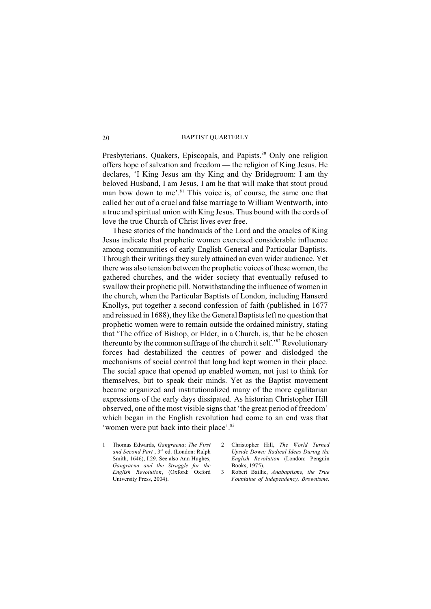Presbyterians, Quakers, Episcopals, and Papists.<sup>80</sup> Only one religion offers hope of salvation and freedom — the religion of King Jesus. He declares, 'I King Jesus am thy King and thy Bridegroom: I am thy beloved Husband, I am Jesus, I am he that will make that stout proud man bow down to me'.<sup>81</sup> This voice is, of course, the same one that called her out of a cruel and false marriage to William Wentworth, into a true and spiritual union with King Jesus. Thus bound with the cords of love the true Church of Christ lives ever free.

These stories of the handmaids of the Lord and the oracles of King Jesus indicate that prophetic women exercised considerable influence among communities of early English General and Particular Baptists. Through their writings they surely attained an even wider audience. Yet there was also tension between the prophetic voices of these women, the gathered churches, and the wider society that eventually refused to swallow their prophetic pill. Notwithstanding the influence of women in the church, when the Particular Baptists of London, including Hanserd Knollys, put together a second confession of faith (published in 1677 and reissued in 1688), they like the General Baptists left no question that prophetic women were to remain outside the ordained ministry, stating that 'The office of Bishop, or Elder, in a Church, is, that he be chosen thereunto by the common suffrage of the church it self.<sup>32</sup> Revolutionary forces had destabilized the centres of power and dislodged the mechanisms of social control that long had kept women in their place. The social space that opened up enabled women, not just to think for themselves, but to speak their minds. Yet as the Baptist movement became organized and institutionalized many of the more egalitarian expressions of the early days dissipated. As historian Christopher Hill observed, one of the most visible signs that 'the great period of freedom' which began in the English revolution had come to an end was that 'women were put back into their place'.<sup>83</sup>

- 1 Thomas Edwards, *Gangraena*: *The First* and Second Part, 3<sup>rd</sup> ed. (London: Ralph Smith, 1646), I.29. See also Ann Hughes, *Gangraena and the Struggle for the English Revolution*, (Oxford: Oxford University Press, 2004).
- 2 Christopher Hill, *The World Turned Upside Down: Radical Ideas During the English Revolution* (London: Penguin Books, 1975).
- 3 Robert Baillie, *Anabaptisme, the True Fountaine of Independency, Brownisme,*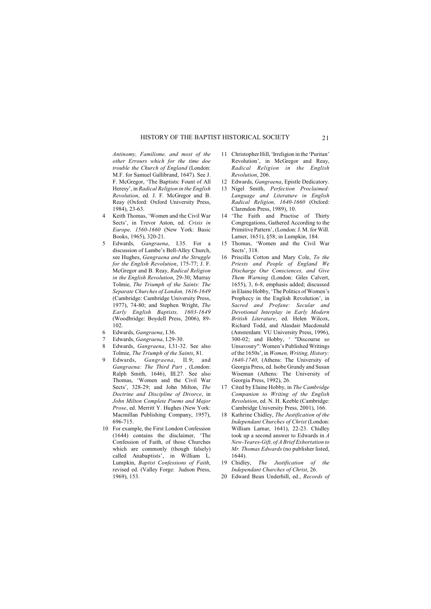*Antinomy, Familisme, and most of the other Errours which for the time doe trouble the Church of England* (London: M.F. for Samuel Gallibrand, 1647). See J. F. McGregor, 'The Baptists: Fount of All Heresy', in *Radical Religion in the English Revolution*, ed. J. F. McGregor and B. Reay (Oxford: Oxford University Press, 1984), 23-63.

- 4 Keith Thomas, 'Women and the Civil War Sects', in Trevor Aston, ed. *Crisis in Europe, 1560-1660* (New York: Basic Books, 1965), 320-21.
- 5 Edwards, *Gangraena*, I.35. For a discussion of Lambe's Bell-Alley Church, see Hughes, *Gangraena and the Struggle for the English Revolution*, 175-77; J. F. McGregor and B. Reay, *Radical Religion in the English Revolution*, 29-30; Murray Tolmie, *The Triumph of the Saints: The Separate Churches of London, 1616-1649* (Cambridge: Cambridge University Press, 1977), 74-80; and Stephen Wright, *The Early English Baptists, 1603-1649* (Woodbridge: Boydell Press, 2006), 89- 102.
- 6 Edwards, *Gangraena*, I.36.
- 7 Edwards, *Gangraena*, I.29-30.
- 8 Edwards, *Gangraena*, I.31-32. See also Tolmie, *The Triumph of the Saints*, 81.
- 9 Edwards, *Gangraena*, II.9; and *Gangraena: The Third Part* , (London: Ralph Smith, 1646), III.27. See also Thomas, 'Women and the Civil War Sects', 328-29; and John Milton, *The Doctrine and Discipline of Divorce*, in *John Milton Complete Poems and Major Prose*, ed. Merritt Y. Hughes (New York: Macmillan Publishing Company, 1957), 696-715.
- 10 For example, the First London Confession (1644) contains the disclaimer, 'The Confession of Faith, of those Churches which are commonly (though falsely) called Anabaptists', in William L. Lumpkin, *Baptist Confessions of Faith*, revised ed. (Valley Forge: Judson Press, 1969), 153.
- 11 Christopher Hill, 'Irreligion in the 'Puritan' Revolution', in McGregor and Reay, *Radical Religion in the English Revolution*, 206.
- 12 Edwards, *Gangraena*, Epistle Dedicatory.
- 13 Nigel Smith, *Perfection Proclaimed: Language and Literature in English Radical Religion, 1640-1660* (Oxford: Clarendon Press, 1989), 10.
- 14 'The Faith and Practise of Thirty Congregations, Gathered According to the Primitive Pattern', (London: J. M. for Will. Larner, 1651), §58; in Lumpkin, 184.
- 15 Thomas, 'Women and the Civil War Sects', 318.
- 16 Priscilla Cotton and Mary Cole, *To the Priests and People of England We Discharge Our Consciences, and Give Them Warning* (London: Giles Calvert, 1655), 3, 6-8, emphasis added; discussed in Elaine Hobby, 'The Politics of Women's Prophecy in the English Revolution', in *Sacred and Profane: Secular and Devotional Interplay in Early Modern British Literature*, ed. Helen Wilcox, Richard Todd, and Alasdair Macdonald (Amsterdam: VU University Press, 1996), 300-02; and Hobby, ' "Discourse so Unsavoury": Women's Published Writings of the 1650s', in *Women, Writing, History: 1640-1740*, (Athens: The University of Georgia Press, ed. Isobe Grundy and Susan Wiseman (Athens: The University of Georgia Press, 1992), 26.
- 17 Cited by Elaine Hobby, in *The Cambridge Companion to Writing of the English Revolution*, ed. N. H. Keeble (Cambridge: Cambridge University Press, 2001), 166.
- 18 Kathrine Chidley, *The Justification of the Independant Churches of Christ* (London: William Larnar, 1641), 22-23. Chidley took up a second answer to Edwards in *A New-Yeares-Gift, of A Brief Exhortation to Mr. Thomas Edwards* (no publisher listed, 1644).
- 19 Chidley, *The Justification of the Independant Churches of Christ*, 26.
- 20 Edward Bean Underhill, ed., *Records of*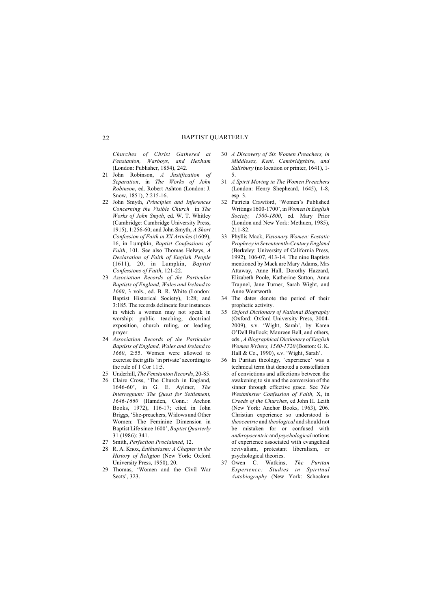*Churches of Christ Gathered at Fenstanton, Warboys, and Hexham* (London: Publisher, 1854), 242.

- 21 John Robinson, *A Justification of Separation*, in *The Works of John Robinson*, ed. Robert Ashton (London: J. Snow, 1851), 2:215-16.
- 22 John Smyth, *Principles and Inferences Concerning the Visible Church* in *The Works of John Smyth*, ed. W. T. Whitley (Cambridge: Cambridge University Press, 1915), 1:256-60; and John Smyth, *A Short Confession of Faith in XX Articles* (1609), 16, in Lumpkin, *Baptist Confessions of Faith*, 101. See also Thomas Helwys, *A Declaration of Faith of English People* (1611), 20, in Lumpkin, *Baptist Confessions of Faith*, 121-22.
- 23 *Association Records of the Particular Baptists of England, Wales and Ireland to 1660*, 3 vols., ed. B. R. White (London: Baptist Historical Society), 1:28; and 3:185. The records delineate four instances in which a woman may not speak in worship: public teaching, doctrinal exposition, church ruling, or leading prayer.
- 24 *Association Records of the Particular Baptists of England, Wales and Ireland to 1660*, 2:55. Women were allowed to exercise their gifts'in private' according to the rule of 1 Cor 11:5.
- 25 Underhill, *The Fenstanton Records*, 20-85.
- 26 Claire Cross, 'The Church in England, 1646-60', in G. E. Aylmer, *The Interregnum: The Quest for Settlement, 1646-1660* (Hamden, Conn.: Archon Books, 1972), 116-17; cited in John Briggs, 'She-preachers, Widows and Other Women: The Feminine Dimension in Baptist Life since 1600', *Baptist Quarterly* 31 (1986): 341.
- 27 Smith, *Perfection Proclaimed*, 12.
- 28 R. A. Knox, *Enthusiasm: A Chapter in the History of Religion* (New York: Oxford University Press, 1950), 20.
- 29 Thomas, 'Women and the Civil War Sects', 323.
- 30 *A Discovery of Six Women Preachers, in Middlesex, Kent, Cambridgshire, and Salisbury* (no location or printer, 1641), 1- 5.
- 31 *A Spirit Moving in The Women Preachers* (London: Henry Shepheard, 1645), 1-8, esp. 3.
- 32 Patricia Crawford, 'Women's Published Writings 1600-1700', in *Women in English Society, 1500-1800*, ed. Mary Prior (London and New York: Methuen, 1985), 211-82.
- 33 Phyllis Mack, *Visionary Women: Ecstatic Prophecy in Seventeenth-Century England* (Berkeley: University of California Press, 1992), 106-07, 413-14. The nine Baptists mentioned by Mack are Mary Adams, Mrs Attaway, Anne Hall, Dorothy Hazzard, Elizabeth Poole, Katherine Sutton, Anna Trapnel, Jane Turner, Sarah Wight, and Anne Wentworth.
- 34 The dates denote the period of their prophetic activity.
- 35 *Oxford Dictionary of National Biography* (Oxford: Oxford University Press, 2004- 2009), s.v. 'Wight, Sarah', by Karen O'Dell Bullock; Maureen Bell, and others, eds., *A Biographical Dictionary of English Women Writers, 1580-1720* (Boston: G. K. Hall & Co., 1990), s.v. 'Wight, Sarah'.
- 36 In Puritan theology, 'experience' was a technical term that denoted a constellation of convictions and affections between the awakening to sin and the conversion of the sinner through effective grace. See *The Westminster Confession of Faith*, X, in *Creeds of the Churches*, ed John H. Leith (New York: Anchor Books, 1963), 206. Christian experience so understood is *theocentric* and *theological* and should not be mistaken for or confused with *anthropocentric* and *psychological* notions of experience associated with evangelical revivalism, protestant liberalism, or psychological theories.
- 37 Owen C. Watkins, *The Puritan Experience: Studies in Spiritual Autobiography* (New York: Schocken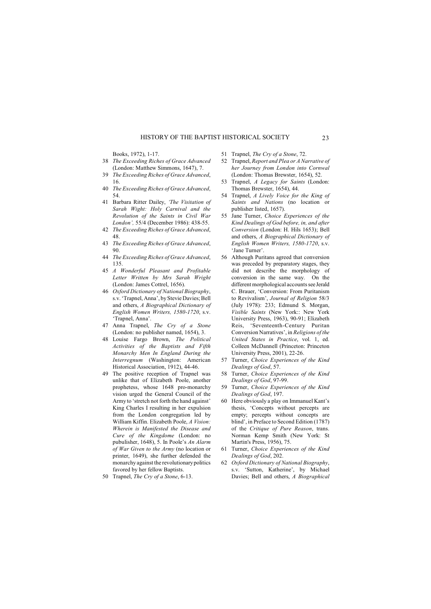Books, 1972), 1-17.

- 38 *The Exceeding Riches of Grace Advanced* (London: Matthew Simmons, 1647), 7.
- 39 *The Exceeding Riches of Grace Advanced*, 16.
- 40 *The Exceeding Riches of Grace Advanced*, 54.
- 41 Barbara Ritter Dailey, *'The Visitation of Sarah Wight: Holy Carnival and the Revolution of the Saints in Civil War London',* 55/4 (December 1986): 438-55.
- 42 *The Exceeding Riches of Grace Advanced*, 48.
- 43 *The Exceeding Riches of Grace Advanced*, 90.
- 44 *The Exceeding Riches of Grace Advanced*, 135.
- 45 *A Wonderful Pleasant and Profitable Letter Written by Mrs Sarah Wright* (London: James Cottrel, 1656).
- 46 *Oxford Dictionary of National Biography*, s.v. 'Trapnel, Anna', by Stevie Davies; Bell and others, *A Biographical Dictionary of English Women Writers, 1580-1720*, s.v. 'Trapnel, Anna'.
- 47 Anna Trapnel, *The Cry of a Stone* (London: no publisher named, 1654), 3.
- 48 Louise Fargo Brown, *The Political Activities of the Baptists and Fifth Monarchy Men In England During the Interregnum* (Washington: American Historical Association, 1912), 44-46.
- 49 The positive reception of Trapnel was unlike that of Elizabeth Poole, another prophetess, whose 1648 pro-monarchy vision urged the General Council of the Army to 'stretch not forth the hand against' King Charles I resulting in her expulsion from the London congregation led by William Kiffin. Elizabeth Poole, *A Vision: Wherein is Manifested the Disease and Cure of the Kingdome* (London: no pubulisher, 1648), 5. In Poole's *An Alarm of War Given to the Army* (no location or printer, 1649), she further defended the monarchy against the revolutionary politics favored by her fellow Baptists.
- 50 Trapnel, *The Cry of a Stone*, 6-13.
- 51 Trapnel, *The Cry of a Stone*, 72.
- 52 Trapnel, *Report and Plea or A Narrative of her Journey from London into Cornwal* (London: Thomas Brewster, 1654), 52.
- 53 Trapnel, *A Legacy for Saints* (London: Thomas Brewster, 1654), 44.
- 54 Trapnel, *A Lively Voice for the King of Saints and Nations* (no location or publisher listed, 1657).
- 55 Jane Turner, *Choice Experiences of the Kind Dealings of God before, in, and after Conversion* (London: H. Hils 1653); Bell and others, *A Biographical Dictionary of English Women Writers, 1580-1720*, s.v. 'Jane Turner'.
- 56 Although Puritans agreed that conversion was preceded by preparatory stages, they did not describe the morphology of conversion in the same way. On the different morphological accounts see Jerald C. Brauer, 'Conversion: From Puritanism to Revivalism', *Journal of Religion* 58/3 (July 1978): 233; Edmund S. Morgan, *Visible Saints* (New York:: New York University Press, 1963), 90-91; Elizabeth Reis, 'Seventeenth-Century Puritan Conversion Narratives', in *Religions of the United States in Practice*, vol. 1, ed. Colleen McDannell (Princeton: Princeton University Press, 2001), 22-26.
- 57 Turner, *Choice Experiences of the Kind Dealings of God*, 57.
- 58 Turner, *Choice Experiences of the Kind Dealings of God*, 97-99.
- 59 Turner, *Choice Experiences of the Kind Dealings of God*, 197.
- 60 Here obviously a play on Immanuel Kant's thesis, 'Concepts without percepts are empty; percepts without concepts are blind', in Preface to Second Edition (1787) of the *Critique of Pure Reason*, trans. Norman Kemp Smith (New York: St Martin's Press, 1956), 75.
- 61 Turner, *Choice Experiences of the Kind Dealings of God*, 202.
- 62 *Oxford Dictionary of National Biography*, s.v. 'Sutton, Katherine', by Michael Davies; Bell and others, *A Biographical*